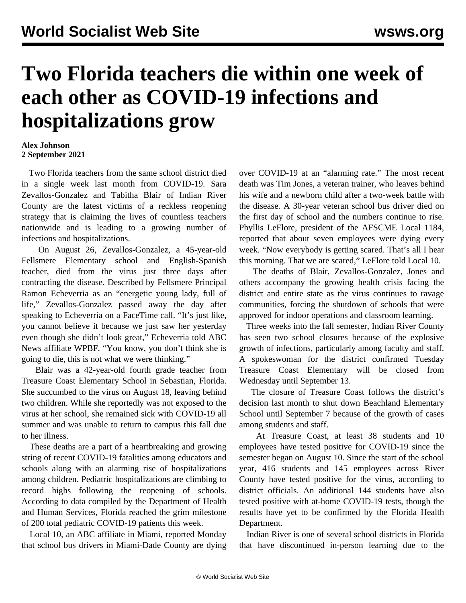## **Two Florida teachers die within one week of each other as COVID-19 infections and hospitalizations grow**

## **Alex Johnson 2 September 2021**

 Two Florida teachers from the same school district died in a single week last month from COVID-19. Sara Zevallos-Gonzalez and Tabitha Blair of Indian River County are the latest victims of a reckless reopening strategy that is claiming the lives of countless teachers nationwide and is leading to a growing number of infections and hospitalizations.

 On August 26, Zevallos-Gonzalez, a 45-year-old Fellsmere Elementary school and English-Spanish teacher, died from the virus just three days after contracting the disease. Described by Fellsmere Principal Ramon Echeverria as an "energetic young lady, full of life," Zevallos-Gonzalez passed away the day after speaking to Echeverria on a FaceTime call. "It's just like, you cannot believe it because we just saw her yesterday even though she didn't look great," Echeverria told ABC News affiliate WPBF. "You know, you don't think she is going to die, this is not what we were thinking."

 Blair was a 42-year-old fourth grade teacher from Treasure Coast Elementary School in Sebastian, Florida. She succumbed to the virus on August 18, leaving behind two children. While she reportedly was not exposed to the virus at her school, she remained sick with COVID-19 all summer and was unable to return to campus this fall due to her illness.

 These deaths are a part of a heartbreaking and growing string of recent COVID-19 fatalities among educators and schools along with an alarming rise of hospitalizations among children. Pediatric hospitalizations are climbing to record highs following the reopening of schools. According to data compiled by the Department of Health and Human Services, Florida reached the grim milestone of 200 total pediatric COVID-19 patients this week.

 Local 10, an ABC affiliate in Miami, reported Monday that school bus drivers in Miami-Dade County are dying over COVID-19 at an "alarming rate." The most recent death was Tim Jones, a veteran trainer, who leaves behind his wife and a newborn child after a two-week battle with the disease. A 30-year veteran school bus driver died on the first day of school and the numbers continue to rise. Phyllis LeFlore, president of the AFSCME Local 1184, reported that about seven employees were dying every week. "Now everybody is getting scared. That's all I hear this morning. That we are scared," LeFlore told Local 10.

 The deaths of Blair, Zevallos-Gonzalez, Jones and others accompany the growing health crisis facing the district and entire state as the virus continues to ravage communities, forcing the shutdown of schools that were approved for indoor operations and classroom learning.

 Three weeks into the fall semester, Indian River County has seen two school closures because of the explosive growth of infections, particularly among faculty and staff. A spokeswoman for the district confirmed Tuesday Treasure Coast Elementary will be closed from Wednesday until September 13.

 The closure of Treasure Coast follows the district's decision last month to shut down Beachland Elementary School until September 7 because of the growth of cases among students and staff.

 At Treasure Coast, at least 38 students and 10 employees have tested positive for COVID-19 since the semester began on August 10. Since the start of the school year, 416 students and 145 employees across River County have tested positive for the virus, according to district officials. An additional 144 students have also tested positive with at-home COVID-19 tests, though the results have yet to be confirmed by the Florida Health Department.

 Indian River is one of several school districts in Florida that have discontinued in-person learning due to the